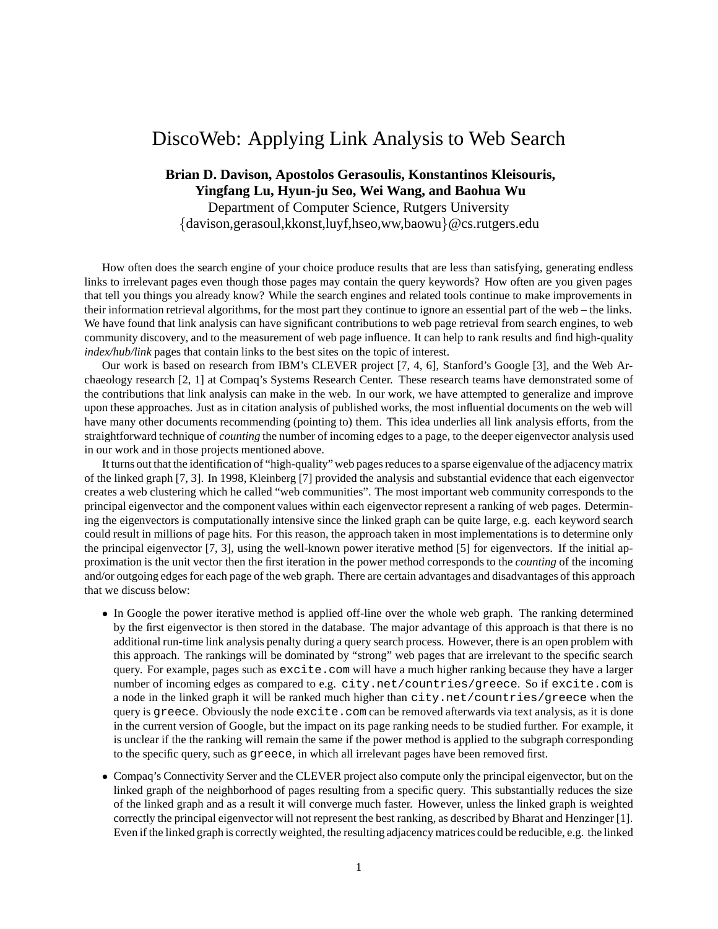## DiscoWeb: Applying Link Analysis to Web Search

## **Brian D. Davison, Apostolos Gerasoulis, Konstantinos Kleisouris, Yingfang Lu, Hyun-ju Seo, Wei Wang, and Baohua Wu**

Department of Computer Science, Rutgers University

{davison,gerasoul,kkonst,luyf,hseo,ww,baowu}@cs.rutgers.edu

How often does the search engine of your choice produce results that are less than satisfying, generating endless links to irrelevant pages even though those pages may contain the query keywords? How often are you given pages that tell you things you already know? While the search engines and related tools continue to make improvements in their information retrieval algorithms, for the most part they continue to ignore an essential part of the web – the links. We have found that link analysis can have significant contributions to web page retrieval from search engines, to web community discovery, and to the measurement of web page influence. It can help to rank results and find high-quality *index/hub/link* pages that contain links to the best sites on the topic of interest.

Our work is based on research from IBM's CLEVER project [7, 4, 6], Stanford's Google [3], and the Web Archaeology research [2, 1] at Compaq's Systems Research Center. These research teams have demonstrated some of the contributions that link analysis can make in the web. In our work, we have attempted to generalize and improve upon these approaches. Just as in citation analysis of published works, the most influential documents on the web will have many other documents recommending (pointing to) them. This idea underlies all link analysis efforts, from the straightforward technique of *counting* the number of incoming edges to a page, to the deeper eigenvector analysis used in our work and in those projects mentioned above.

It turns out that the identification of "high-quality" web pages reduces to a sparse eigenvalue of the adjacency matrix of the linked graph [7, 3]. In 1998, Kleinberg [7] provided the analysis and substantial evidence that each eigenvector creates a web clustering which he called "web communities". The most important web community corresponds to the principal eigenvector and the component values within each eigenvector represent a ranking of web pages. Determining the eigenvectors is computationally intensive since the linked graph can be quite large, e.g. each keyword search could result in millions of page hits. For this reason, the approach taken in most implementations is to determine only the principal eigenvector [7, 3], using the well-known power iterative method [5] for eigenvectors. If the initial approximation is the unit vector then the first iteration in the power method corresponds to the *counting* of the incoming and/or outgoing edges for each page of the web graph. There are certain advantages and disadvantages of this approach that we discuss below:

- In Google the power iterative method is applied off-line over the whole web graph. The ranking determined by the first eigenvector is then stored in the database. The major advantage of this approach is that there is no additional run-time link analysis penalty during a query search process. However, there is an open problem with this approach. The rankings will be dominated by "strong" web pages that are irrelevant to the specific search query. For example, pages such as excite.com will have a much higher ranking because they have a larger number of incoming edges as compared to e.g. city.net/countries/greece. So if excite.com is a node in the linked graph it will be ranked much higher than city.net/countries/greece when the query is greece. Obviously the node excite.com can be removed afterwards via text analysis, as it is done in the current version of Google, but the impact on its page ranking needs to be studied further. For example, it is unclear if the the ranking will remain the same if the power method is applied to the subgraph corresponding to the specific query, such as greece, in which all irrelevant pages have been removed first.
- Compaq's Connectivity Server and the CLEVER project also compute only the principal eigenvector, but on the linked graph of the neighborhood of pages resulting from a specific query. This substantially reduces the size of the linked graph and as a result it will converge much faster. However, unless the linked graph is weighted correctly the principal eigenvector will not represent the best ranking, as described by Bharat and Henzinger [1]. Even if the linked graph is correctly weighted, the resulting adjacency matrices could be reducible, e.g. the linked